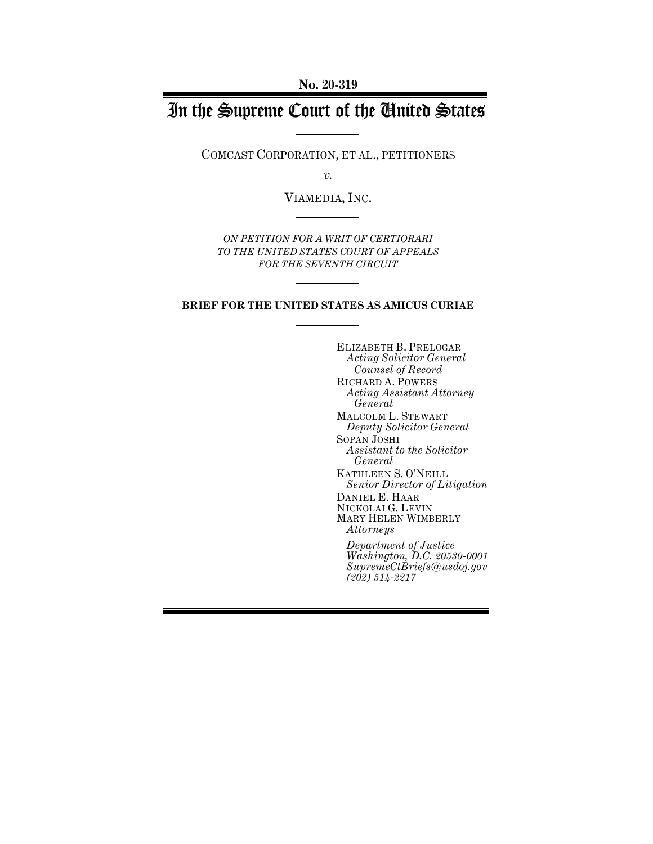**No. 20-319**

# In the Supreme Court of the United States

COMCAST CORPORATION, ET AL., PETITIONERS

*v.*

VIAMEDIA, INC.

*ON PETITION FOR A WRIT OF CERTIORARI TO THE UNITED STATES COURT OF APPEALS FOR THE SEVENTH CIRCUIT* 

## **BRIEF FOR THE UNITED STATES AS AMICUS CURIAE**

ELIZABETH B. PRELOGAR *Acting Solicitor General Counsel of Record* RICHARD A. POWERS *Acting Assistant Attorney General* MALCOLM L. STEWART *Deputy Solicitor General* SOPAN JOSHI *Assistant to the Solicitor General* KATHLEEN S. O'NEILL *Senior Director of Litigation* DANIEL E. HAAR NICKOLAI G. LEVIN MARY HELEN WIMBERLY *Attorneys Department of Justice*

*Washington, D.C. 20530-0001 SupremeCtBriefs@usdoj.gov (202) 514-2217*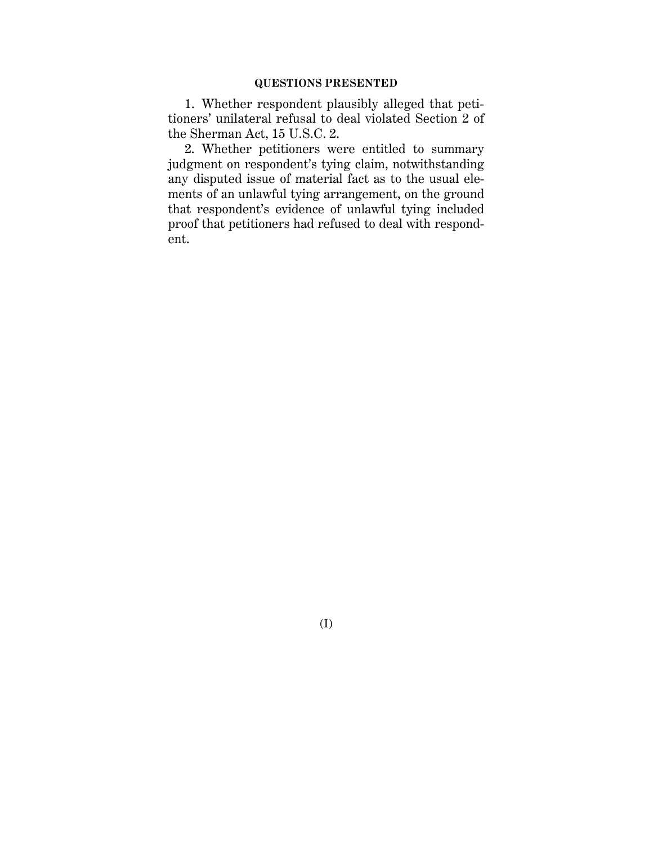1. Whether respondent plausibly alleged that petitioners' unilateral refusal to deal violated Section 2 of the Sherman Act, 15 U.S.C. 2.

2. Whether petitioners were entitled to summary judgment on respondent's tying claim, notwithstanding any disputed issue of material fact as to the usual elements of an unlawful tying arrangement, on the ground that respondent's evidence of unlawful tying included proof that petitioners had refused to deal with respondent.

(I)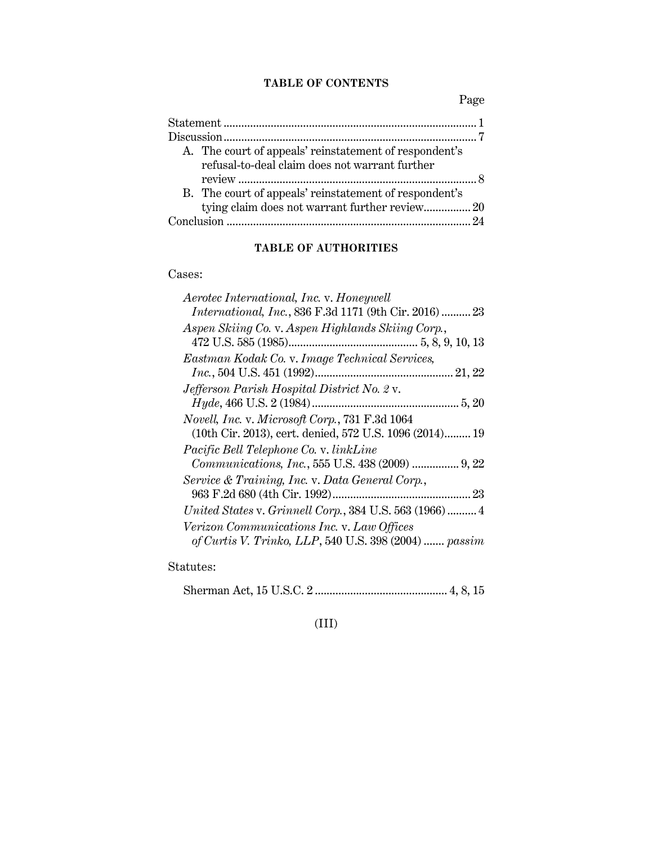## **TABLE OF CONTENTS**

Page

| A. The court of appeals' reinstatement of respondent's<br>refusal-to-deal claim does not warrant further |
|----------------------------------------------------------------------------------------------------------|
|                                                                                                          |
| B. The court of appeals' reinstatement of respondent's                                                   |
| tying claim does not warrant further review 20                                                           |
| 94                                                                                                       |

## **TABLE OF AUTHORITIES**

Cases:

| Aerotec International, Inc. v. Honeywell                |
|---------------------------------------------------------|
| International, Inc., 836 F.3d 1171 (9th Cir. 2016)  23  |
| Aspen Skiing Co. v. Aspen Highlands Skiing Corp.,       |
|                                                         |
| Eastman Kodak Co. v. Image Technical Services,          |
|                                                         |
| Jefferson Parish Hospital District No. 2 v.             |
|                                                         |
| Novell, Inc. v. Microsoft Corp., 731 F.3d 1064          |
| (10th Cir. 2013), cert. denied, 572 U.S. 1096 (2014) 19 |
| Pacific Bell Telephone Co. v. linkLine                  |
| Communications, Inc., 555 U.S. 438 (2009)  9, 22        |
| Service & Training, Inc. v. Data General Corp.,         |
|                                                         |
| United States v. Grinnell Corp., 384 U.S. 563 (1966) 4  |
| Verizon Communications Inc. v. Law Offices              |
| of Curtis V. Trinko, LLP, 540 U.S. 398 (2004)  passim   |
|                                                         |

Statutes:

Sherman Act, 15 U.S.C. 2 ............................................. 4, 8, 15

## (III)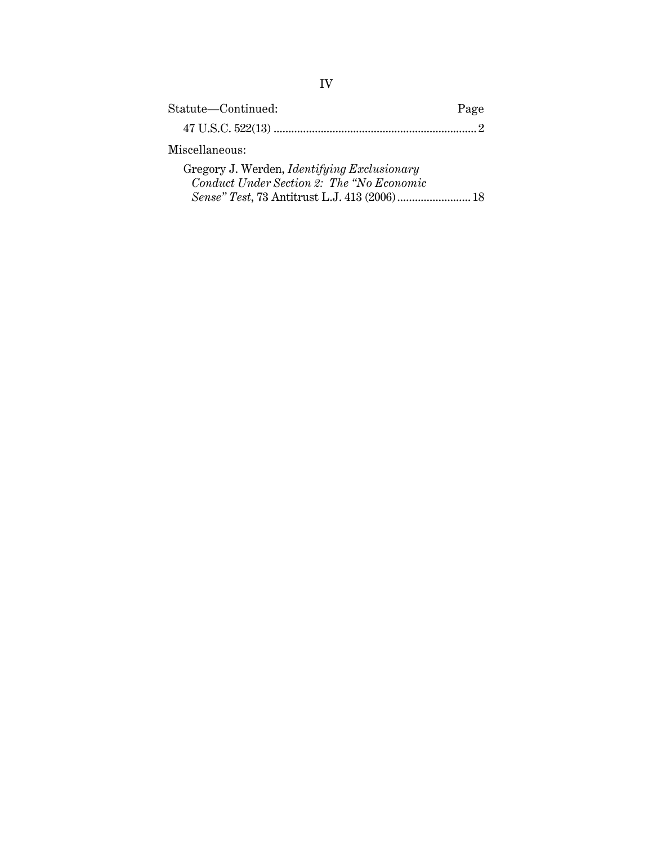| Statute-Continued:                          | Page |
|---------------------------------------------|------|
|                                             |      |
| Miscellaneous:                              |      |
| Gregory J. Werden, Identifying Exclusionary |      |

*Sense" Test*, 73 Antitrust L.J. 413 (2006)......................... 18

*Conduct Under Section 2: The "No Economic*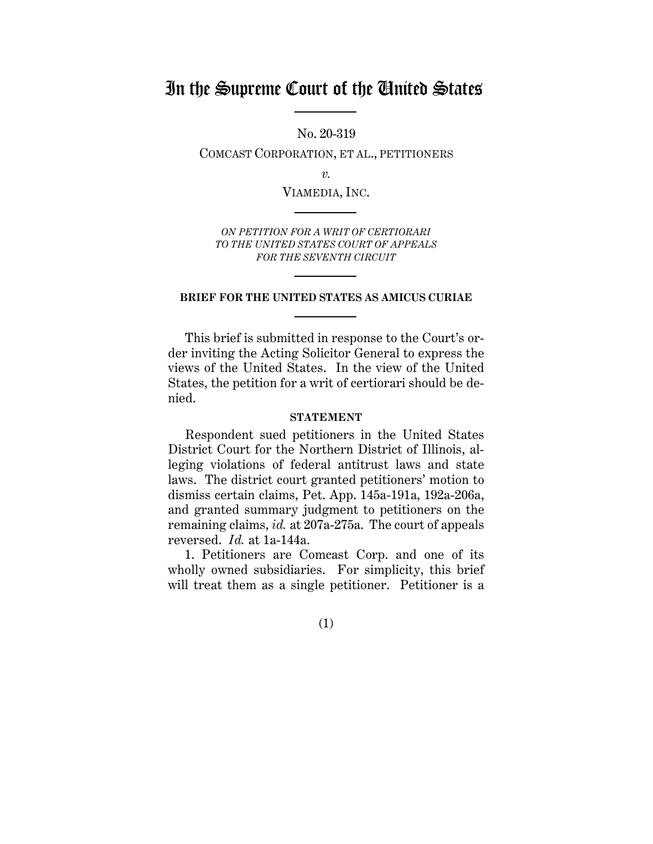## In the Supreme Court of the United States

No. 20-319

COMCAST CORPORATION, ET AL., PETITIONERS

*v.*

VIAMEDIA, INC.

*ON PETITION FOR A WRIT OF CERTIORARI TO THE UNITED STATES COURT OF APPEALS FOR THE SEVENTH CIRCUIT* 

#### **BRIEF FOR THE UNITED STATES AS AMICUS CURIAE**

This brief is submitted in response to the Court's order inviting the Acting Solicitor General to express the views of the United States. In the view of the United States, the petition for a writ of certiorari should be denied.

#### **STATEMENT**

Respondent sued petitioners in the United States District Court for the Northern District of Illinois, alleging violations of federal antitrust laws and state laws. The district court granted petitioners' motion to dismiss certain claims, Pet. App. 145a-191a, 192a-206a, and granted summary judgment to petitioners on the remaining claims, *id.* at 207a-275a. The court of appeals reversed. *Id.* at 1a-144a.

1. Petitioners are Comcast Corp. and one of its wholly owned subsidiaries. For simplicity, this brief will treat them as a single petitioner. Petitioner is a

(1)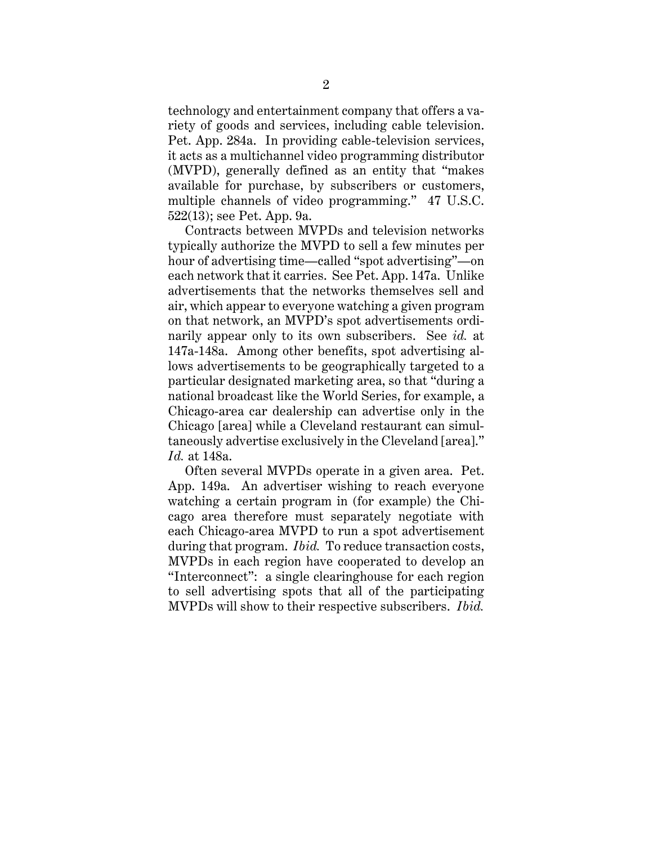technology and entertainment company that offers a variety of goods and services, including cable television. Pet. App. 284a. In providing cable-television services, it acts as a multichannel video programming distributor (MVPD), generally defined as an entity that "makes available for purchase, by subscribers or customers, multiple channels of video programming." 47 U.S.C. 522(13); see Pet. App. 9a.

Contracts between MVPDs and television networks typically authorize the MVPD to sell a few minutes per hour of advertising time—called "spot advertising"—on each network that it carries. See Pet. App. 147a. Unlike advertisements that the networks themselves sell and air, which appear to everyone watching a given program on that network, an MVPD's spot advertisements ordinarily appear only to its own subscribers. See *id.* at 147a-148a. Among other benefits, spot advertising allows advertisements to be geographically targeted to a particular designated marketing area, so that "during a national broadcast like the World Series, for example, a Chicago-area car dealership can advertise only in the Chicago [area] while a Cleveland restaurant can simultaneously advertise exclusively in the Cleveland [area]." *Id.* at 148a.

Often several MVPDs operate in a given area. Pet. App. 149a. An advertiser wishing to reach everyone watching a certain program in (for example) the Chicago area therefore must separately negotiate with each Chicago-area MVPD to run a spot advertisement during that program. *Ibid.* To reduce transaction costs, MVPDs in each region have cooperated to develop an "Interconnect": a single clearinghouse for each region to sell advertising spots that all of the participating MVPDs will show to their respective subscribers. *Ibid.*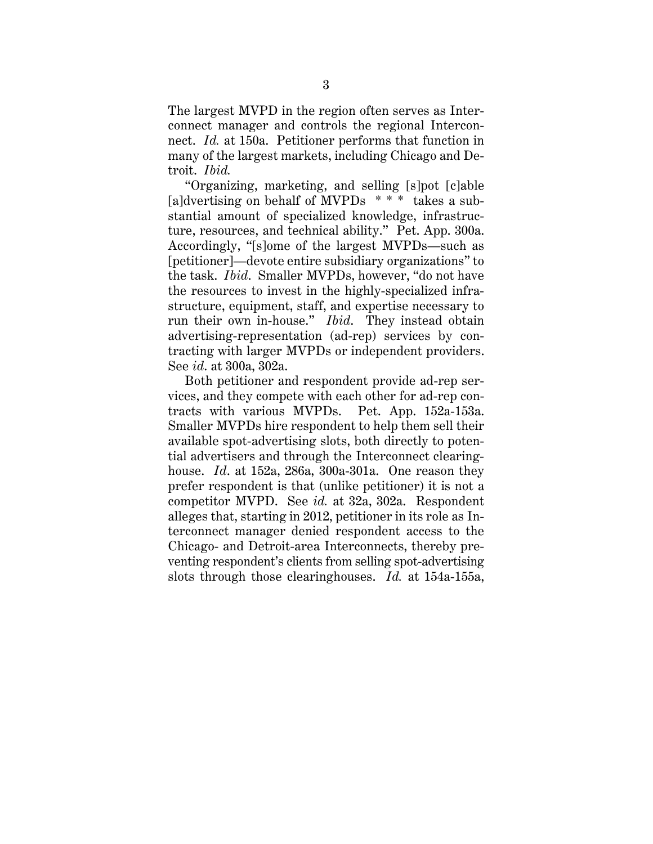The largest MVPD in the region often serves as Interconnect manager and controls the regional Interconnect. *Id.* at 150a. Petitioner performs that function in many of the largest markets, including Chicago and Detroit. *Ibid.*

"Organizing, marketing, and selling [s]pot [c]able [a]dvertising on behalf of MVPDs \* \* \* takes a substantial amount of specialized knowledge, infrastructure, resources, and technical ability." Pet. App. 300a. Accordingly, "[s]ome of the largest MVPDs—such as [petitioner]—devote entire subsidiary organizations" to the task. *Ibid*. Smaller MVPDs, however, "do not have the resources to invest in the highly-specialized infrastructure, equipment, staff, and expertise necessary to run their own in-house." *Ibid*. They instead obtain advertising-representation (ad-rep) services by contracting with larger MVPDs or independent providers. See *id*. at 300a, 302a.

Both petitioner and respondent provide ad-rep services, and they compete with each other for ad-rep contracts with various MVPDs. Pet. App. 152a-153a. Smaller MVPDs hire respondent to help them sell their available spot-advertising slots, both directly to potential advertisers and through the Interconnect clearinghouse. *Id*. at 152a, 286a, 300a-301a. One reason they prefer respondent is that (unlike petitioner) it is not a competitor MVPD. See *id.* at 32a, 302a. Respondent alleges that, starting in 2012, petitioner in its role as Interconnect manager denied respondent access to the Chicago- and Detroit-area Interconnects, thereby preventing respondent's clients from selling spot-advertising slots through those clearinghouses. *Id.* at 154a-155a,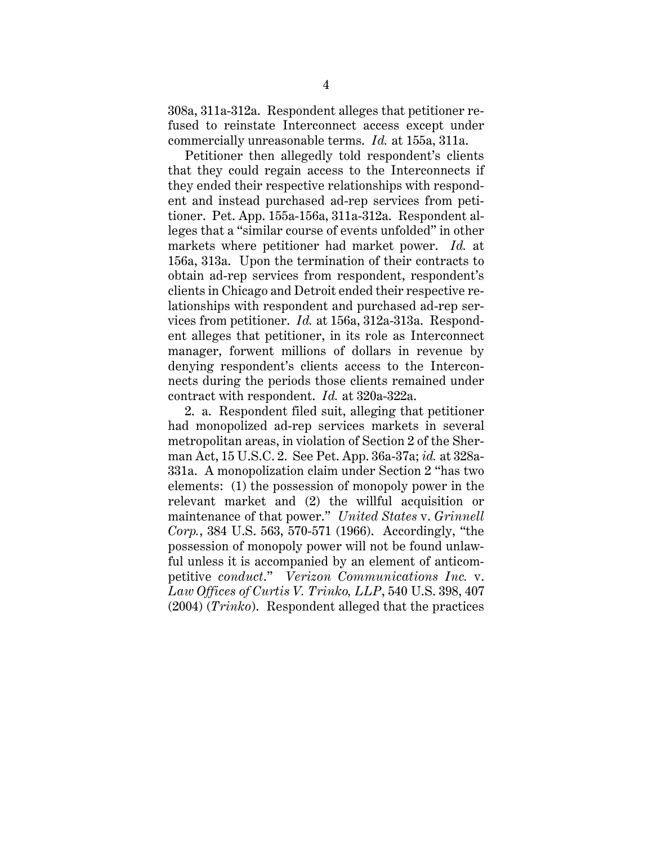308a, 311a-312a. Respondent alleges that petitioner refused to reinstate Interconnect access except under commercially unreasonable terms. *Id.* at 155a, 311a.

Petitioner then allegedly told respondent's clients that they could regain access to the Interconnects if they ended their respective relationships with respondent and instead purchased ad-rep services from petitioner. Pet. App. 155a-156a, 311a-312a. Respondent alleges that a "similar course of events unfolded" in other markets where petitioner had market power. *Id.* at 156a, 313a. Upon the termination of their contracts to obtain ad-rep services from respondent, respondent's clients in Chicago and Detroit ended their respective relationships with respondent and purchased ad-rep services from petitioner. *Id.* at 156a, 312a-313a. Respondent alleges that petitioner, in its role as Interconnect manager, forwent millions of dollars in revenue by denying respondent's clients access to the Interconnects during the periods those clients remained under contract with respondent. *Id.* at 320a-322a.

2. a. Respondent filed suit, alleging that petitioner had monopolized ad-rep services markets in several metropolitan areas, in violation of Section 2 of the Sherman Act, 15 U.S.C. 2. See Pet. App. 36a-37a; *id.* at 328a-331a. A monopolization claim under Section 2 "has two elements: (1) the possession of monopoly power in the relevant market and (2) the willful acquisition or maintenance of that power." *United States* v. *Grinnell Corp.*, 384 U.S. 563, 570-571 (1966). Accordingly, "the possession of monopoly power will not be found unlawful unless it is accompanied by an element of anticompetitive *conduct*." *Verizon Communications Inc.* v. *Law Offices of Curtis V. Trinko, LLP*, 540 U.S. 398, 407 (2004) (*Trinko*). Respondent alleged that the practices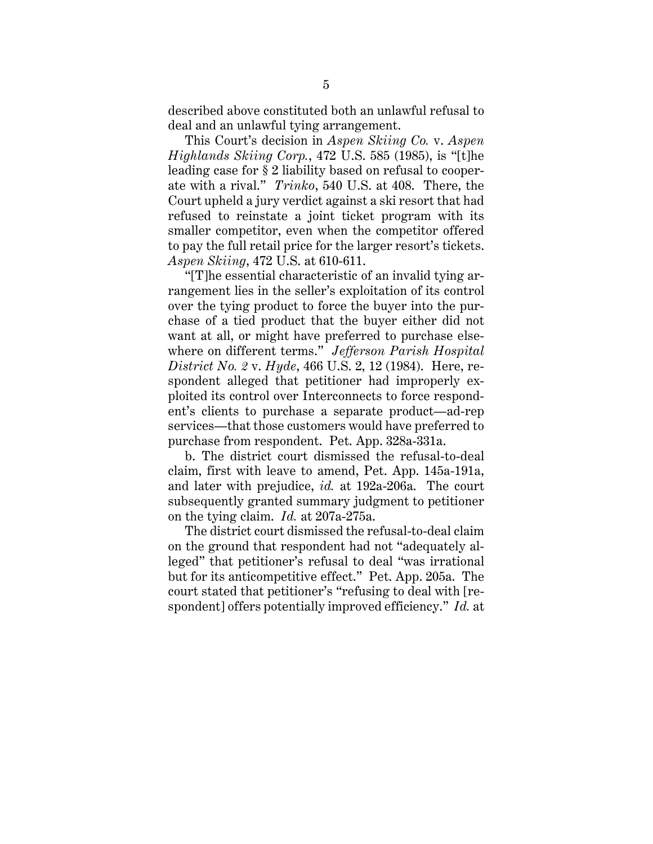described above constituted both an unlawful refusal to deal and an unlawful tying arrangement.

This Court's decision in *Aspen Skiing Co.* v. *Aspen Highlands Skiing Corp.*, 472 U.S. 585 (1985), is "[t]he leading case for § 2 liability based on refusal to cooperate with a rival." *Trinko*, 540 U.S. at 408. There, the Court upheld a jury verdict against a ski resort that had refused to reinstate a joint ticket program with its smaller competitor, even when the competitor offered to pay the full retail price for the larger resort's tickets. *Aspen Skiing*, 472 U.S. at 610-611.

"[T]he essential characteristic of an invalid tying arrangement lies in the seller's exploitation of its control over the tying product to force the buyer into the purchase of a tied product that the buyer either did not want at all, or might have preferred to purchase elsewhere on different terms." *Jefferson Parish Hospital District No. 2* v. *Hyde*, 466 U.S. 2, 12 (1984). Here, respondent alleged that petitioner had improperly exploited its control over Interconnects to force respondent's clients to purchase a separate product—ad-rep services—that those customers would have preferred to purchase from respondent. Pet. App. 328a-331a.

b. The district court dismissed the refusal-to-deal claim, first with leave to amend, Pet. App. 145a-191a, and later with prejudice, *id.* at 192a-206a. The court subsequently granted summary judgment to petitioner on the tying claim. *Id.* at 207a-275a.

The district court dismissed the refusal-to-deal claim on the ground that respondent had not "adequately alleged" that petitioner's refusal to deal "was irrational but for its anticompetitive effect." Pet. App. 205a. The court stated that petitioner's "refusing to deal with [respondent] offers potentially improved efficiency." *Id.* at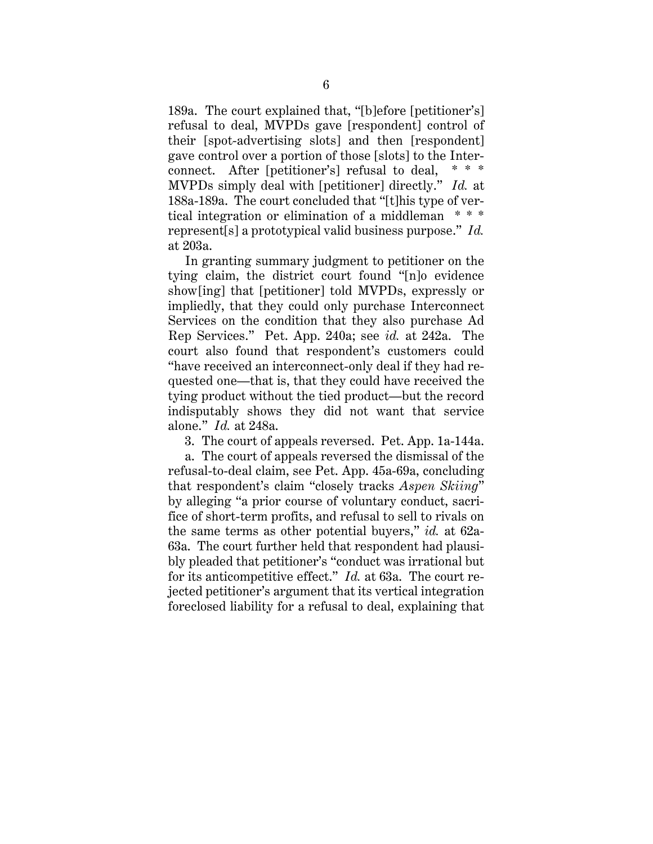189a. The court explained that, "[b]efore [petitioner's] refusal to deal, MVPDs gave [respondent] control of their [spot-advertising slots] and then [respondent] gave control over a portion of those [slots] to the Interconnect. After [petitioner's] refusal to deal, \* \* \* MVPDs simply deal with [petitioner] directly." *Id.* at 188a-189a. The court concluded that "[t]his type of vertical integration or elimination of a middleman \* \* \* represent[s] a prototypical valid business purpose." *Id.* at 203a.

In granting summary judgment to petitioner on the tying claim, the district court found "[n]o evidence show[ing] that [petitioner] told MVPDs, expressly or impliedly, that they could only purchase Interconnect Services on the condition that they also purchase Ad Rep Services." Pet. App. 240a; see *id.* at 242a. The court also found that respondent's customers could "have received an interconnect-only deal if they had requested one—that is, that they could have received the tying product without the tied product—but the record indisputably shows they did not want that service alone." *Id.* at 248a.

3. The court of appeals reversed. Pet. App. 1a-144a.

a. The court of appeals reversed the dismissal of the refusal-to-deal claim, see Pet. App. 45a-69a, concluding that respondent's claim "closely tracks *Aspen Skiing*" by alleging "a prior course of voluntary conduct, sacrifice of short-term profits, and refusal to sell to rivals on the same terms as other potential buyers," *id.* at 62a-63a. The court further held that respondent had plausibly pleaded that petitioner's "conduct was irrational but for its anticompetitive effect." *Id.* at 63a. The court rejected petitioner's argument that its vertical integration foreclosed liability for a refusal to deal, explaining that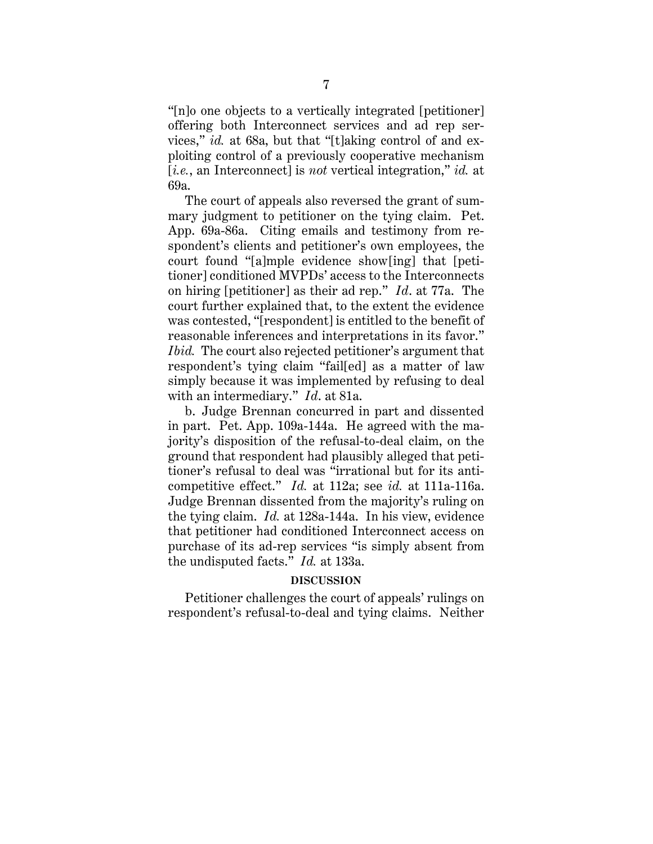"[n]o one objects to a vertically integrated [petitioner] offering both Interconnect services and ad rep services," *id.* at 68a, but that "[t]aking control of and exploiting control of a previously cooperative mechanism [*i.e.*, an Interconnect] is *not* vertical integration," *id.* at 69a.

The court of appeals also reversed the grant of summary judgment to petitioner on the tying claim. Pet. App. 69a-86a. Citing emails and testimony from respondent's clients and petitioner's own employees, the court found "[a]mple evidence show[ing] that [petitioner] conditioned MVPDs' access to the Interconnects on hiring [petitioner] as their ad rep." *Id*. at 77a. The court further explained that, to the extent the evidence was contested, "[respondent] is entitled to the benefit of reasonable inferences and interpretations in its favor." *Ibid.* The court also rejected petitioner's argument that respondent's tying claim "fail[ed] as a matter of law simply because it was implemented by refusing to deal with an intermediary." *Id*. at 81a.

b. Judge Brennan concurred in part and dissented in part. Pet. App. 109a-144a. He agreed with the majority's disposition of the refusal-to-deal claim, on the ground that respondent had plausibly alleged that petitioner's refusal to deal was "irrational but for its anticompetitive effect." *Id.* at 112a; see *id.* at 111a-116a. Judge Brennan dissented from the majority's ruling on the tying claim. *Id.* at 128a-144a. In his view, evidence that petitioner had conditioned Interconnect access on purchase of its ad-rep services "is simply absent from the undisputed facts." *Id.* at 133a.

#### **DISCUSSION**

Petitioner challenges the court of appeals' rulings on respondent's refusal-to-deal and tying claims. Neither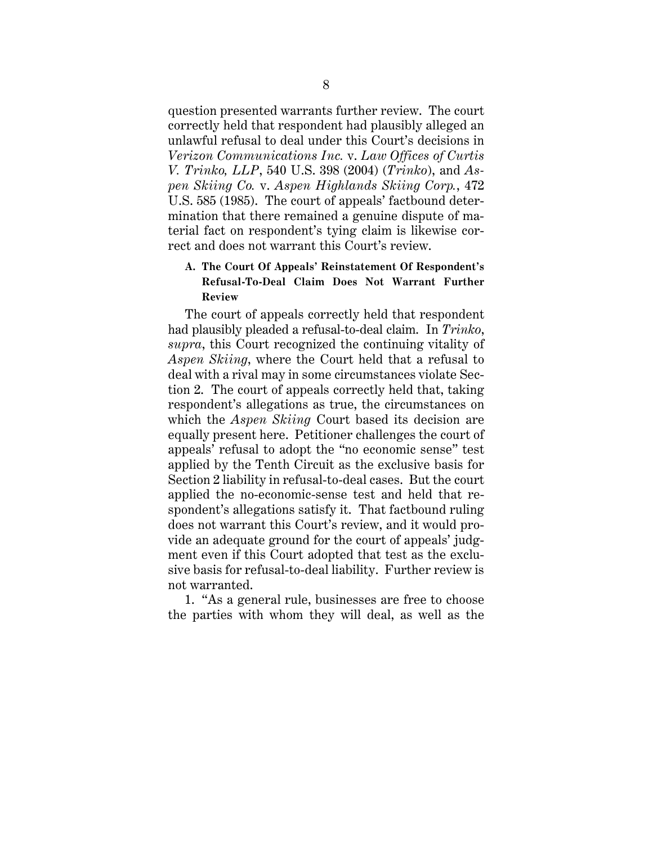question presented warrants further review. The court correctly held that respondent had plausibly alleged an unlawful refusal to deal under this Court's decisions in *Verizon Communications Inc.* v. *Law Offices of Curtis V. Trinko, LLP*, 540 U.S. 398 (2004) (*Trinko*), and *Aspen Skiing Co.* v. *Aspen Highlands Skiing Corp.*, 472 U.S. 585 (1985). The court of appeals' factbound determination that there remained a genuine dispute of material fact on respondent's tying claim is likewise correct and does not warrant this Court's review.

## **A. The Court Of Appeals' Reinstatement Of Respondent's Refusal-To-Deal Claim Does Not Warrant Further Review**

The court of appeals correctly held that respondent had plausibly pleaded a refusal-to-deal claim. In *Trinko*, *supra*, this Court recognized the continuing vitality of *Aspen Skiing*, where the Court held that a refusal to deal with a rival may in some circumstances violate Section 2. The court of appeals correctly held that, taking respondent's allegations as true, the circumstances on which the *Aspen Skiing* Court based its decision are equally present here. Petitioner challenges the court of appeals' refusal to adopt the "no economic sense" test applied by the Tenth Circuit as the exclusive basis for Section 2 liability in refusal-to-deal cases. But the court applied the no-economic-sense test and held that respondent's allegations satisfy it. That factbound ruling does not warrant this Court's review, and it would provide an adequate ground for the court of appeals' judgment even if this Court adopted that test as the exclusive basis for refusal-to-deal liability. Further review is not warranted.

1. "As a general rule, businesses are free to choose the parties with whom they will deal, as well as the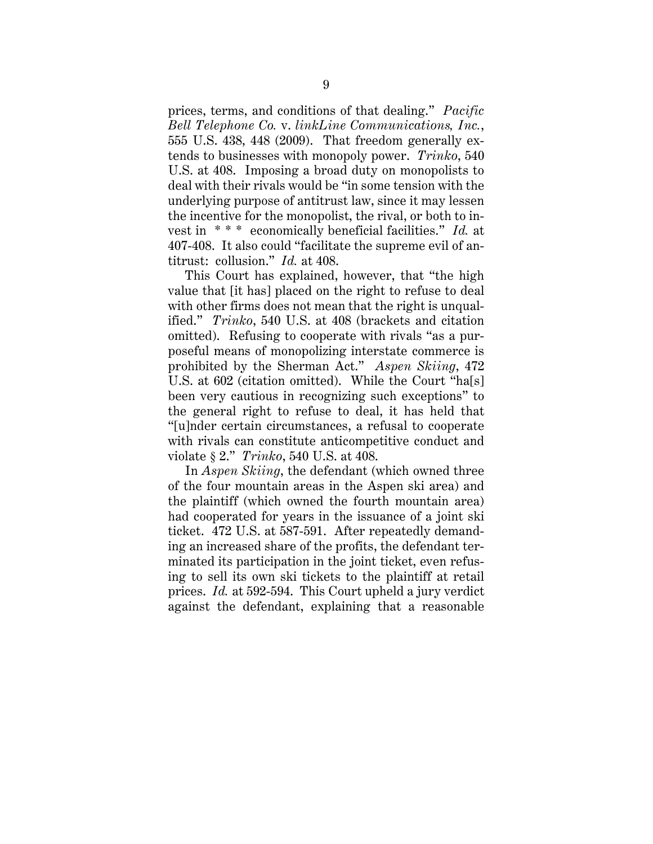prices, terms, and conditions of that dealing." *Pacific Bell Telephone Co.* v. *linkLine Communications, Inc.*, 555 U.S. 438, 448 (2009). That freedom generally extends to businesses with monopoly power. *Trinko*, 540 U.S. at 408. Imposing a broad duty on monopolists to deal with their rivals would be "in some tension with the underlying purpose of antitrust law, since it may lessen the incentive for the monopolist, the rival, or both to invest in \* \* \* economically beneficial facilities." *Id.* at 407-408. It also could "facilitate the supreme evil of antitrust: collusion." *Id.* at 408.

This Court has explained, however, that "the high value that [it has] placed on the right to refuse to deal with other firms does not mean that the right is unqualified." *Trinko*, 540 U.S. at 408 (brackets and citation omitted). Refusing to cooperate with rivals "as a purposeful means of monopolizing interstate commerce is prohibited by the Sherman Act." *Aspen Skiing*, 472 U.S. at 602 (citation omitted). While the Court "ha[s] been very cautious in recognizing such exceptions" to the general right to refuse to deal, it has held that "[u]nder certain circumstances, a refusal to cooperate with rivals can constitute anticompetitive conduct and violate § 2." *Trinko*, 540 U.S. at 408.

In *Aspen Skiing*, the defendant (which owned three of the four mountain areas in the Aspen ski area) and the plaintiff (which owned the fourth mountain area) had cooperated for years in the issuance of a joint ski ticket. 472 U.S. at 587-591. After repeatedly demanding an increased share of the profits, the defendant terminated its participation in the joint ticket, even refusing to sell its own ski tickets to the plaintiff at retail prices. *Id.* at 592-594. This Court upheld a jury verdict against the defendant, explaining that a reasonable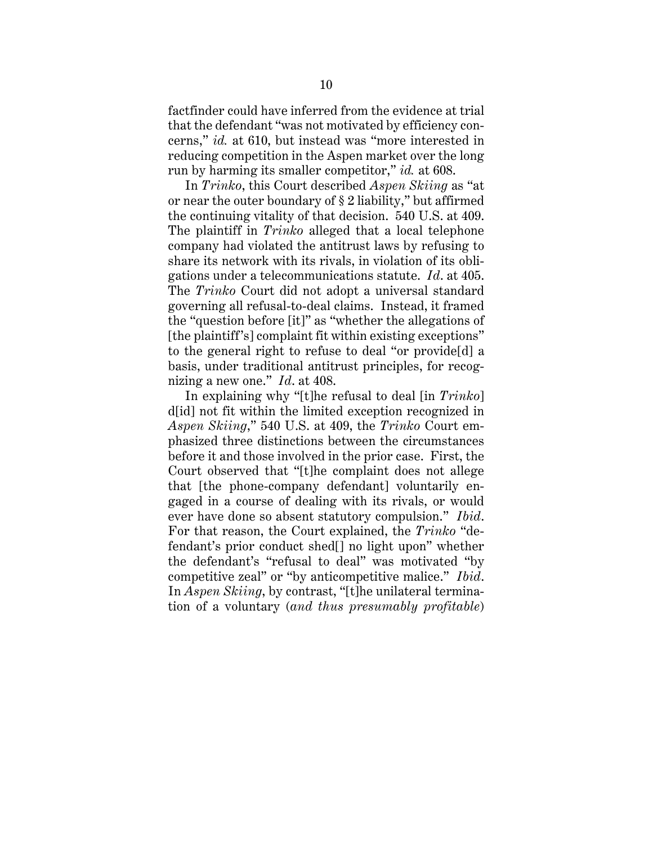factfinder could have inferred from the evidence at trial that the defendant "was not motivated by efficiency concerns," *id.* at 610, but instead was "more interested in reducing competition in the Aspen market over the long run by harming its smaller competitor," *id.* at 608.

In *Trinko*, this Court described *Aspen Skiing* as "at or near the outer boundary of § 2 liability," but affirmed the continuing vitality of that decision. 540 U.S. at 409. The plaintiff in *Trinko* alleged that a local telephone company had violated the antitrust laws by refusing to share its network with its rivals, in violation of its obligations under a telecommunications statute. *Id*. at 405. The *Trinko* Court did not adopt a universal standard governing all refusal-to-deal claims. Instead, it framed the "question before [it]" as "whether the allegations of [the plaintiff's] complaint fit within existing exceptions" to the general right to refuse to deal "or provide[d] a basis, under traditional antitrust principles, for recognizing a new one." *Id*. at 408.

In explaining why "[t]he refusal to deal [in *Trinko*] d[id] not fit within the limited exception recognized in *Aspen Skiing*," 540 U.S. at 409, the *Trinko* Court emphasized three distinctions between the circumstances before it and those involved in the prior case. First, the Court observed that "[t]he complaint does not allege that [the phone-company defendant] voluntarily engaged in a course of dealing with its rivals, or would ever have done so absent statutory compulsion." *Ibid*. For that reason, the Court explained, the *Trinko* "defendant's prior conduct shed[] no light upon" whether the defendant's "refusal to deal" was motivated "by competitive zeal" or "by anticompetitive malice." *Ibid*. In *Aspen Skiing*, by contrast, "[t]he unilateral termination of a voluntary (*and thus presumably profitable*)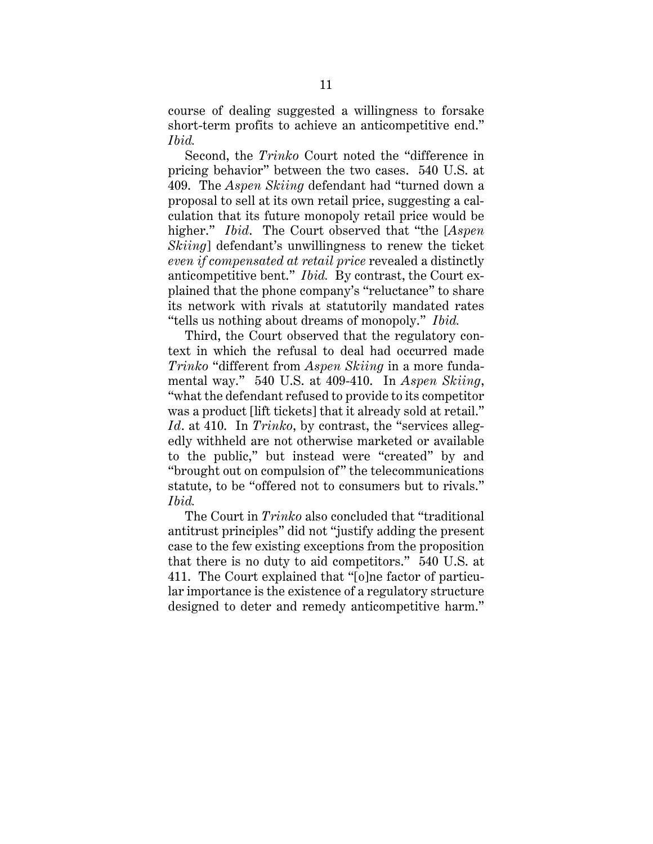course of dealing suggested a willingness to forsake short-term profits to achieve an anticompetitive end." *Ibid.*

Second, the *Trinko* Court noted the "difference in pricing behavior" between the two cases. 540 U.S. at 409. The *Aspen Skiing* defendant had "turned down a proposal to sell at its own retail price, suggesting a calculation that its future monopoly retail price would be higher." *Ibid*. The Court observed that "the [*Aspen Skiing*] defendant's unwillingness to renew the ticket *even if compensated at retail price* revealed a distinctly anticompetitive bent." *Ibid.* By contrast, the Court explained that the phone company's "reluctance" to share its network with rivals at statutorily mandated rates "tells us nothing about dreams of monopoly." *Ibid.*

Third, the Court observed that the regulatory context in which the refusal to deal had occurred made *Trinko* "different from *Aspen Skiing* in a more fundamental way." 540 U.S. at 409-410. In *Aspen Skiing*, "what the defendant refused to provide to its competitor was a product [lift tickets] that it already sold at retail." *Id*. at 410. In *Trinko*, by contrast, the "services allegedly withheld are not otherwise marketed or available to the public," but instead were "created" by and "brought out on compulsion of" the telecommunications statute, to be "offered not to consumers but to rivals." *Ibid.*

The Court in *Trinko* also concluded that "traditional antitrust principles" did not "justify adding the present case to the few existing exceptions from the proposition that there is no duty to aid competitors." 540 U.S. at 411. The Court explained that "[o]ne factor of particular importance is the existence of a regulatory structure designed to deter and remedy anticompetitive harm."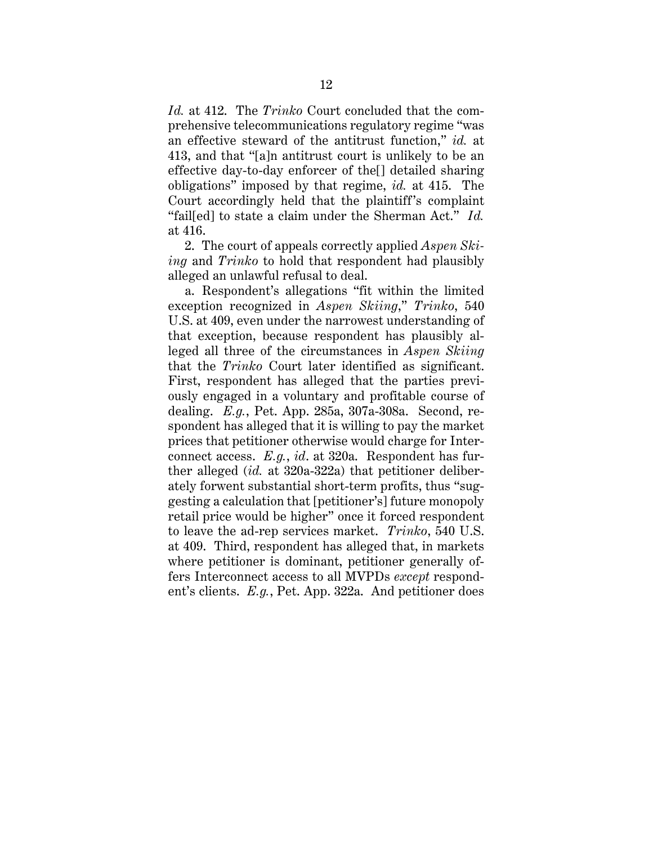*Id.* at 412. The *Trinko* Court concluded that the comprehensive telecommunications regulatory regime "was an effective steward of the antitrust function," *id.* at 413, and that "[a]n antitrust court is unlikely to be an effective day-to-day enforcer of the[] detailed sharing obligations" imposed by that regime, *id.* at 415. The Court accordingly held that the plaintiff's complaint "fail[ed] to state a claim under the Sherman Act." *Id.* at 416.

2. The court of appeals correctly applied *Aspen Skiing* and *Trinko* to hold that respondent had plausibly alleged an unlawful refusal to deal.

a. Respondent's allegations "fit within the limited exception recognized in *Aspen Skiing*," *Trinko*, 540 U.S. at 409, even under the narrowest understanding of that exception, because respondent has plausibly alleged all three of the circumstances in *Aspen Skiing* that the *Trinko* Court later identified as significant. First, respondent has alleged that the parties previously engaged in a voluntary and profitable course of dealing. *E.g.*, Pet. App. 285a, 307a-308a. Second, respondent has alleged that it is willing to pay the market prices that petitioner otherwise would charge for Interconnect access. *E.g.*, *id*. at 320a. Respondent has further alleged (*id.* at 320a-322a) that petitioner deliberately forwent substantial short-term profits, thus "suggesting a calculation that [petitioner's] future monopoly retail price would be higher" once it forced respondent to leave the ad-rep services market. *Trinko*, 540 U.S. at 409. Third, respondent has alleged that, in markets where petitioner is dominant, petitioner generally offers Interconnect access to all MVPDs *except* respondent's clients. *E.g.*, Pet. App. 322a. And petitioner does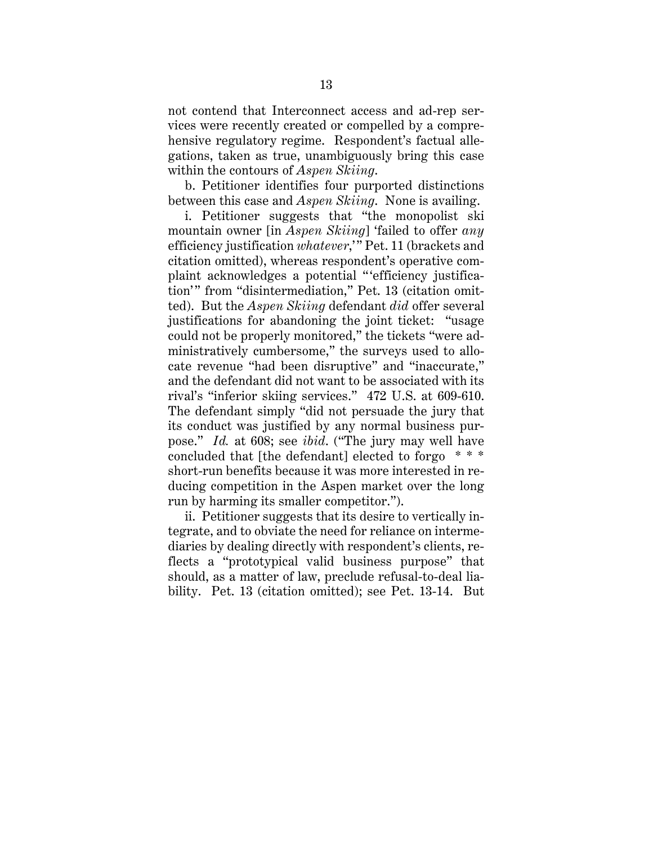not contend that Interconnect access and ad-rep services were recently created or compelled by a comprehensive regulatory regime. Respondent's factual allegations, taken as true, unambiguously bring this case within the contours of *Aspen Skiing*.

b. Petitioner identifies four purported distinctions between this case and *Aspen Skiing*. None is availing.

i. Petitioner suggests that "the monopolist ski mountain owner [in *Aspen Skiing*] 'failed to offer *any* efficiency justification *whatever*," Pet. 11 (brackets and citation omitted), whereas respondent's operative complaint acknowledges a potential " 'efficiency justification'" from "disintermediation," Pet. 13 (citation omitted). But the *Aspen Skiing* defendant *did* offer several justifications for abandoning the joint ticket: "usage could not be properly monitored," the tickets "were administratively cumbersome," the surveys used to allocate revenue "had been disruptive" and "inaccurate," and the defendant did not want to be associated with its rival's "inferior skiing services." 472 U.S. at 609-610. The defendant simply "did not persuade the jury that its conduct was justified by any normal business purpose." *Id.* at 608; see *ibid*. ("The jury may well have concluded that [the defendant] elected to forgo \* \* \* short-run benefits because it was more interested in reducing competition in the Aspen market over the long run by harming its smaller competitor.").

ii. Petitioner suggests that its desire to vertically integrate, and to obviate the need for reliance on intermediaries by dealing directly with respondent's clients, reflects a "prototypical valid business purpose" that should, as a matter of law, preclude refusal-to-deal liability. Pet. 13 (citation omitted); see Pet. 13-14. But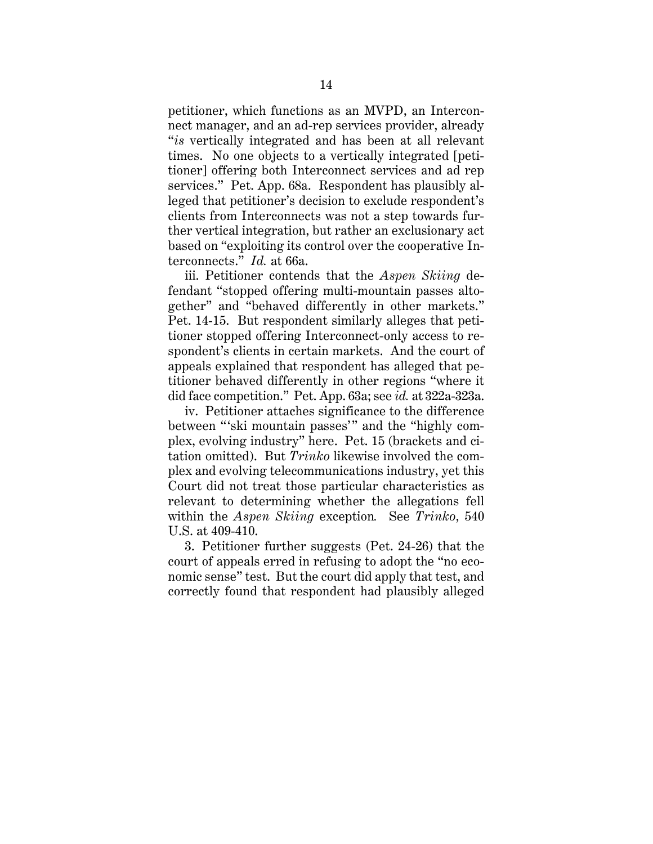petitioner, which functions as an MVPD, an Interconnect manager, and an ad-rep services provider, already "*is* vertically integrated and has been at all relevant times. No one objects to a vertically integrated [petitioner] offering both Interconnect services and ad rep services." Pet. App. 68a. Respondent has plausibly alleged that petitioner's decision to exclude respondent's clients from Interconnects was not a step towards further vertical integration, but rather an exclusionary act based on "exploiting its control over the cooperative Interconnects." *Id.* at 66a.

iii. Petitioner contends that the *Aspen Skiing* defendant "stopped offering multi-mountain passes altogether" and "behaved differently in other markets." Pet. 14-15. But respondent similarly alleges that petitioner stopped offering Interconnect-only access to respondent's clients in certain markets. And the court of appeals explained that respondent has alleged that petitioner behaved differently in other regions "where it did face competition." Pet. App. 63a; see *id.* at 322a-323a.

iv. Petitioner attaches significance to the difference between "'ski mountain passes'" and the "highly complex, evolving industry" here. Pet. 15 (brackets and citation omitted). But *Trinko* likewise involved the complex and evolving telecommunications industry, yet this Court did not treat those particular characteristics as relevant to determining whether the allegations fell within the *Aspen Skiing* exception*.* See *Trinko*, 540 U.S. at 409-410.

3. Petitioner further suggests (Pet. 24-26) that the court of appeals erred in refusing to adopt the "no economic sense" test. But the court did apply that test, and correctly found that respondent had plausibly alleged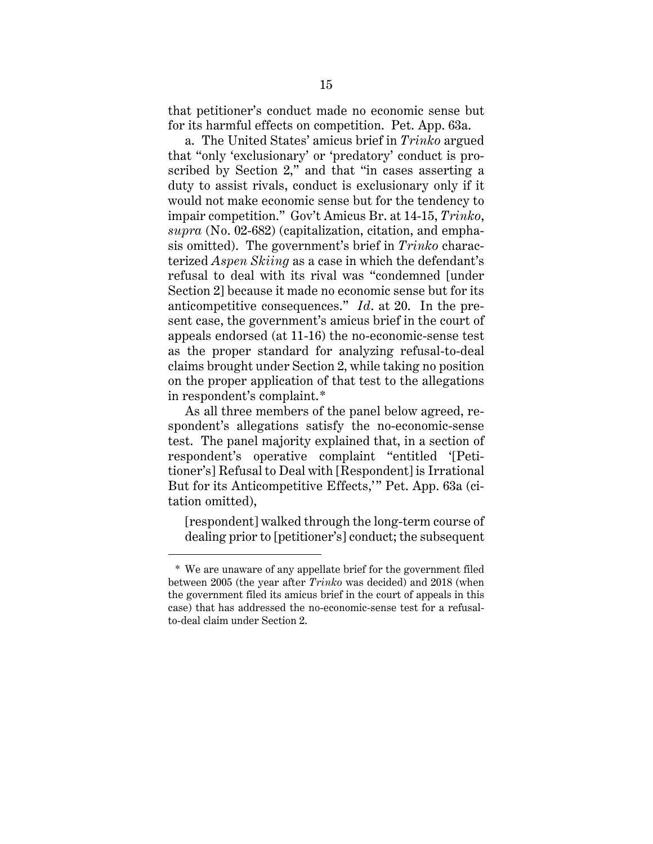that petitioner's conduct made no economic sense but for its harmful effects on competition. Pet. App. 63a.

a. The United States' amicus brief in *Trinko* argued that "only 'exclusionary' or 'predatory' conduct is proscribed by Section 2," and that "in cases asserting a duty to assist rivals, conduct is exclusionary only if it would not make economic sense but for the tendency to impair competition." Gov't Amicus Br. at 14-15, *Trinko*, *supra* (No. 02-682) (capitalization, citation, and emphasis omitted). The government's brief in *Trinko* characterized *Aspen Skiing* as a case in which the defendant's refusal to deal with its rival was "condemned [under Section 2] because it made no economic sense but for its anticompetitive consequences." *Id*. at 20. In the present case, the government's amicus brief in the court of appeals endorsed (at 11-16) the no-economic-sense test as the proper standard for analyzing refusal-to-deal claims brought under Section 2, while taking no position on the proper application of that test to the allegations in respondent's complaint.\*

As all three members of the panel below agreed, respondent's allegations satisfy the no-economic-sense test. The panel majority explained that, in a section of respondent's operative complaint "entitled '[Petitioner's] Refusal to Deal with [Respondent] is Irrational But for its Anticompetitive Effects," Pet. App. 63a (citation omitted),

[respondent] walked through the long-term course of dealing prior to [petitioner's] conduct; the subsequent

 $\overline{a}$ 

<sup>\*</sup> We are unaware of any appellate brief for the government filed between 2005 (the year after *Trinko* was decided) and 2018 (when the government filed its amicus brief in the court of appeals in this case) that has addressed the no-economic-sense test for a refusalto-deal claim under Section 2.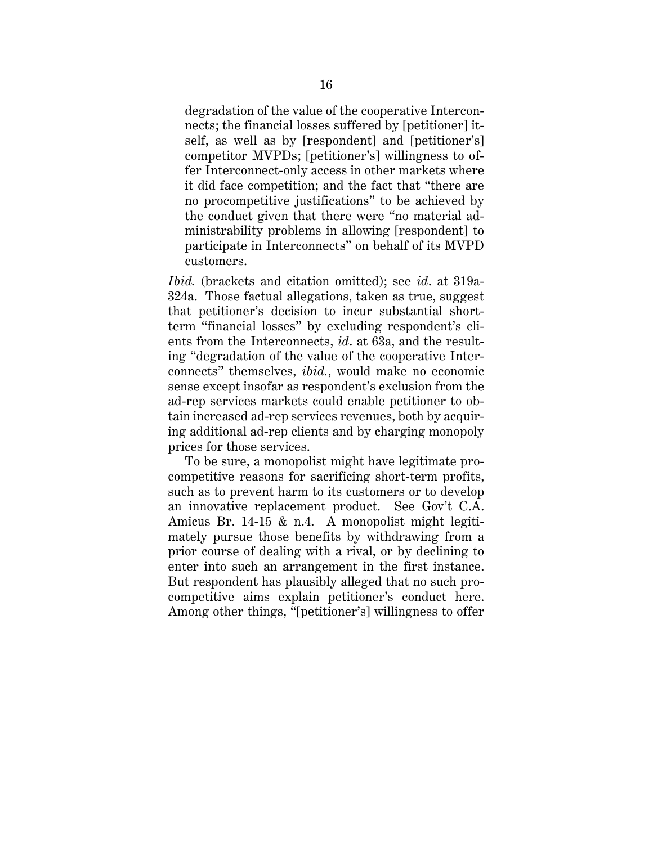degradation of the value of the cooperative Interconnects; the financial losses suffered by [petitioner] itself, as well as by [respondent] and [petitioner's] competitor MVPDs; [petitioner's] willingness to offer Interconnect-only access in other markets where it did face competition; and the fact that "there are no procompetitive justifications" to be achieved by the conduct given that there were "no material administrability problems in allowing [respondent] to participate in Interconnects" on behalf of its MVPD customers.

*Ibid.* (brackets and citation omitted); see *id*. at 319a-324a. Those factual allegations, taken as true, suggest that petitioner's decision to incur substantial shortterm "financial losses" by excluding respondent's clients from the Interconnects, *id*. at 63a, and the resulting "degradation of the value of the cooperative Interconnects" themselves, *ibid.*, would make no economic sense except insofar as respondent's exclusion from the ad-rep services markets could enable petitioner to obtain increased ad-rep services revenues, both by acquiring additional ad-rep clients and by charging monopoly prices for those services.

To be sure, a monopolist might have legitimate procompetitive reasons for sacrificing short-term profits, such as to prevent harm to its customers or to develop an innovative replacement product. See Gov't C.A. Amicus Br. 14-15 & n.4. A monopolist might legitimately pursue those benefits by withdrawing from a prior course of dealing with a rival, or by declining to enter into such an arrangement in the first instance. But respondent has plausibly alleged that no such procompetitive aims explain petitioner's conduct here. Among other things, "[petitioner's] willingness to offer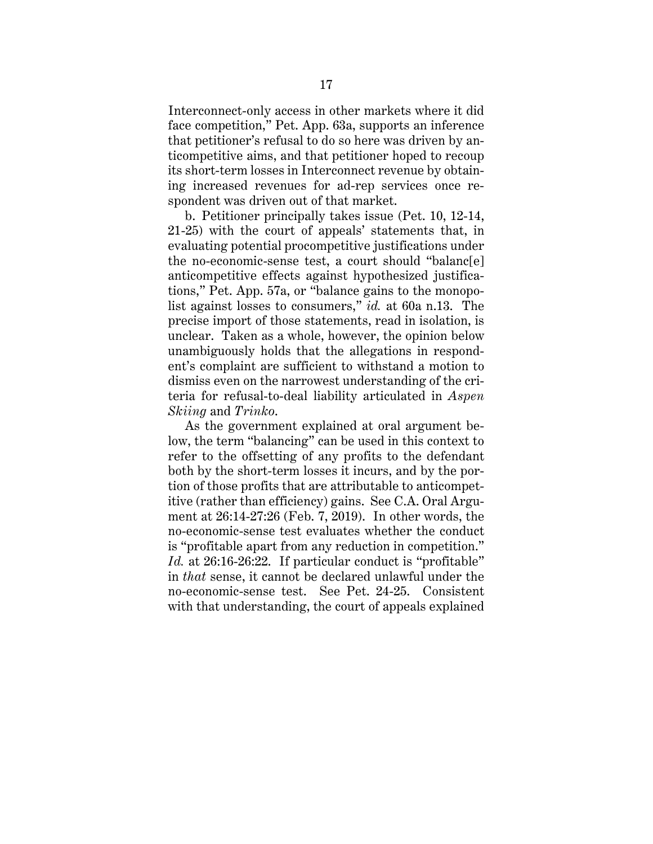Interconnect-only access in other markets where it did face competition," Pet. App. 63a, supports an inference that petitioner's refusal to do so here was driven by anticompetitive aims, and that petitioner hoped to recoup its short-term losses in Interconnect revenue by obtaining increased revenues for ad-rep services once respondent was driven out of that market.

b. Petitioner principally takes issue (Pet. 10, 12-14, 21-25) with the court of appeals' statements that, in evaluating potential procompetitive justifications under the no-economic-sense test, a court should "balanc[e] anticompetitive effects against hypothesized justifications," Pet. App. 57a, or "balance gains to the monopolist against losses to consumers," *id.* at 60a n.13. The precise import of those statements, read in isolation, is unclear. Taken as a whole, however, the opinion below unambiguously holds that the allegations in respondent's complaint are sufficient to withstand a motion to dismiss even on the narrowest understanding of the criteria for refusal-to-deal liability articulated in *Aspen Skiing* and *Trinko*.

As the government explained at oral argument below, the term "balancing" can be used in this context to refer to the offsetting of any profits to the defendant both by the short-term losses it incurs, and by the portion of those profits that are attributable to anticompetitive (rather than efficiency) gains. See C.A. Oral Argument at 26:14-27:26 (Feb. 7, 2019). In other words, the no-economic-sense test evaluates whether the conduct is "profitable apart from any reduction in competition." *Id.* at 26:16-26:22. If particular conduct is "profitable" in *that* sense, it cannot be declared unlawful under the no-economic-sense test. See Pet. 24-25. Consistent with that understanding, the court of appeals explained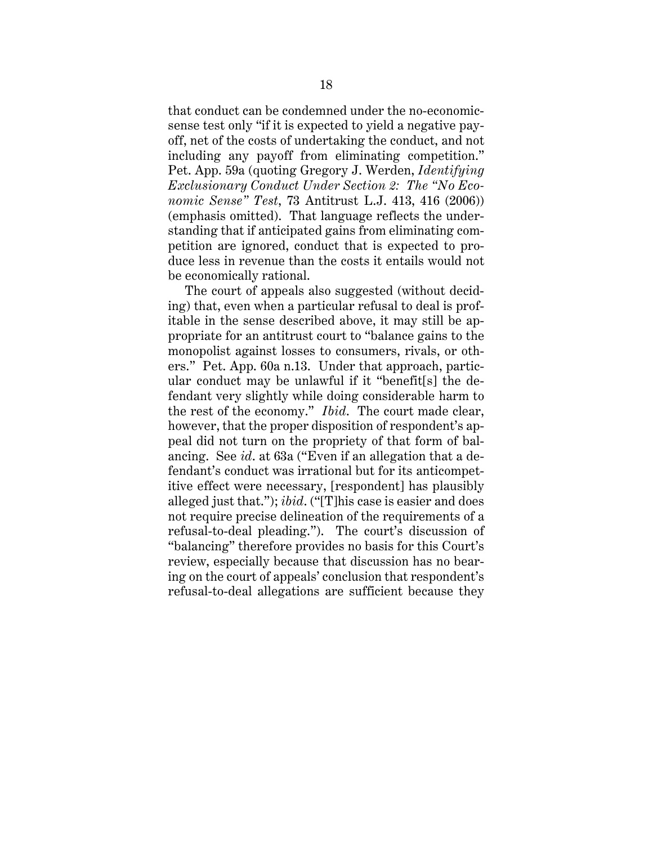that conduct can be condemned under the no-economicsense test only "if it is expected to yield a negative payoff, net of the costs of undertaking the conduct, and not including any payoff from eliminating competition." Pet. App. 59a (quoting Gregory J. Werden, *Identifying Exclusionary Conduct Under Section 2: The "No Economic Sense" Test*, 73 Antitrust L.J. 413, 416 (2006)) (emphasis omitted). That language reflects the understanding that if anticipated gains from eliminating competition are ignored, conduct that is expected to produce less in revenue than the costs it entails would not be economically rational.

The court of appeals also suggested (without deciding) that, even when a particular refusal to deal is profitable in the sense described above, it may still be appropriate for an antitrust court to "balance gains to the monopolist against losses to consumers, rivals, or others." Pet. App. 60a n.13. Under that approach, particular conduct may be unlawful if it "benefit[s] the defendant very slightly while doing considerable harm to the rest of the economy." *Ibid*. The court made clear, however, that the proper disposition of respondent's appeal did not turn on the propriety of that form of balancing. See *id*. at 63a ("Even if an allegation that a defendant's conduct was irrational but for its anticompetitive effect were necessary, [respondent] has plausibly alleged just that."); *ibid*. ("[T]his case is easier and does not require precise delineation of the requirements of a refusal-to-deal pleading."). The court's discussion of "balancing" therefore provides no basis for this Court's review, especially because that discussion has no bearing on the court of appeals' conclusion that respondent's refusal-to-deal allegations are sufficient because they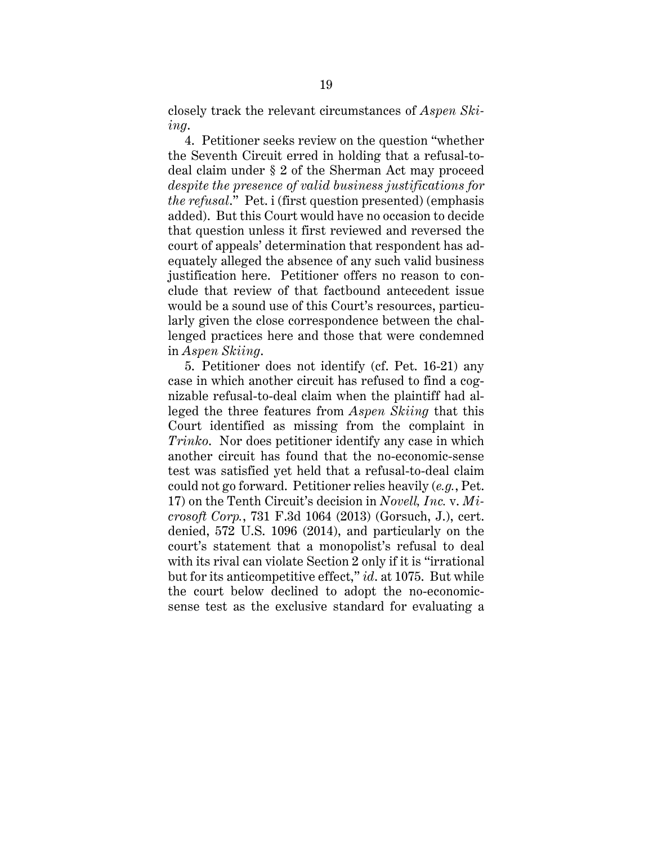closely track the relevant circumstances of *Aspen Skiing*.

4. Petitioner seeks review on the question "whether the Seventh Circuit erred in holding that a refusal-todeal claim under § 2 of the Sherman Act may proceed *despite the presence of valid business justifications for the refusal*." Pet. i (first question presented) (emphasis added). But this Court would have no occasion to decide that question unless it first reviewed and reversed the court of appeals' determination that respondent has adequately alleged the absence of any such valid business justification here. Petitioner offers no reason to conclude that review of that factbound antecedent issue would be a sound use of this Court's resources, particularly given the close correspondence between the challenged practices here and those that were condemned in *Aspen Skiing*.

5. Petitioner does not identify (cf. Pet. 16-21) any case in which another circuit has refused to find a cognizable refusal-to-deal claim when the plaintiff had alleged the three features from *Aspen Skiing* that this Court identified as missing from the complaint in *Trinko*. Nor does petitioner identify any case in which another circuit has found that the no-economic-sense test was satisfied yet held that a refusal-to-deal claim could not go forward. Petitioner relies heavily (*e.g.*, Pet. 17) on the Tenth Circuit's decision in *Novell, Inc.* v. *Microsoft Corp.*, 731 F.3d 1064 (2013) (Gorsuch, J.), cert. denied, 572 U.S. 1096 (2014), and particularly on the court's statement that a monopolist's refusal to deal with its rival can violate Section 2 only if it is "irrational but for its anticompetitive effect," *id*. at 1075. But while the court below declined to adopt the no-economicsense test as the exclusive standard for evaluating a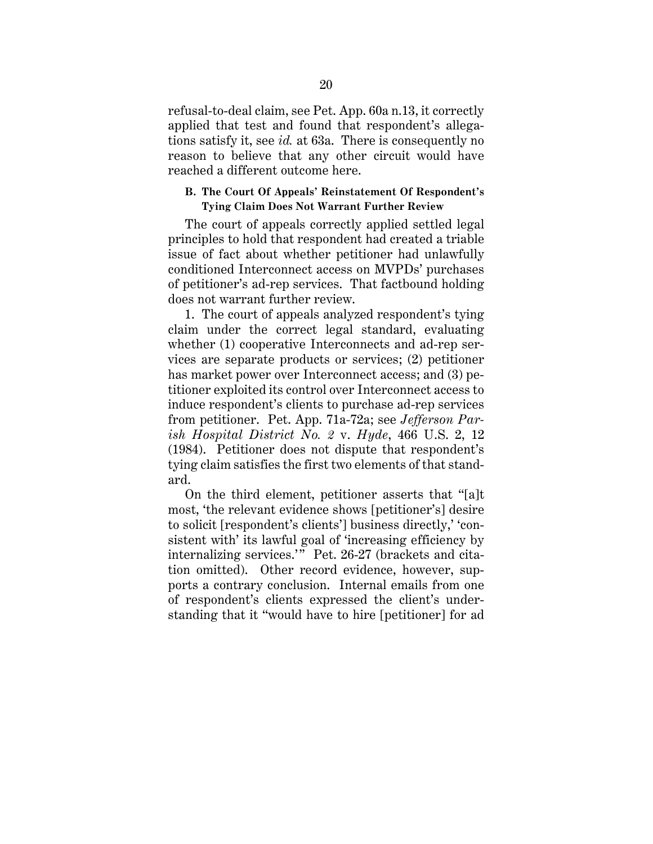refusal-to-deal claim, see Pet. App. 60a n.13, it correctly applied that test and found that respondent's allegations satisfy it, see *id.* at 63a. There is consequently no reason to believe that any other circuit would have reached a different outcome here.

#### **B. The Court Of Appeals' Reinstatement Of Respondent's Tying Claim Does Not Warrant Further Review**

The court of appeals correctly applied settled legal principles to hold that respondent had created a triable issue of fact about whether petitioner had unlawfully conditioned Interconnect access on MVPDs' purchases of petitioner's ad-rep services. That factbound holding does not warrant further review.

1. The court of appeals analyzed respondent's tying claim under the correct legal standard, evaluating whether (1) cooperative Interconnects and ad-rep services are separate products or services; (2) petitioner has market power over Interconnect access; and  $(3)$  petitioner exploited its control over Interconnect access to induce respondent's clients to purchase ad-rep services from petitioner. Pet. App. 71a-72a; see *Jefferson Parish Hospital District No. 2* v. *Hyde*, 466 U.S. 2, 12 (1984). Petitioner does not dispute that respondent's tying claim satisfies the first two elements of that standard.

On the third element, petitioner asserts that "[a]t most, 'the relevant evidence shows [petitioner's] desire to solicit [respondent's clients'] business directly,' 'consistent with' its lawful goal of 'increasing efficiency by internalizing services.'" Pet. 26-27 (brackets and citation omitted). Other record evidence, however, supports a contrary conclusion. Internal emails from one of respondent's clients expressed the client's understanding that it "would have to hire [petitioner] for ad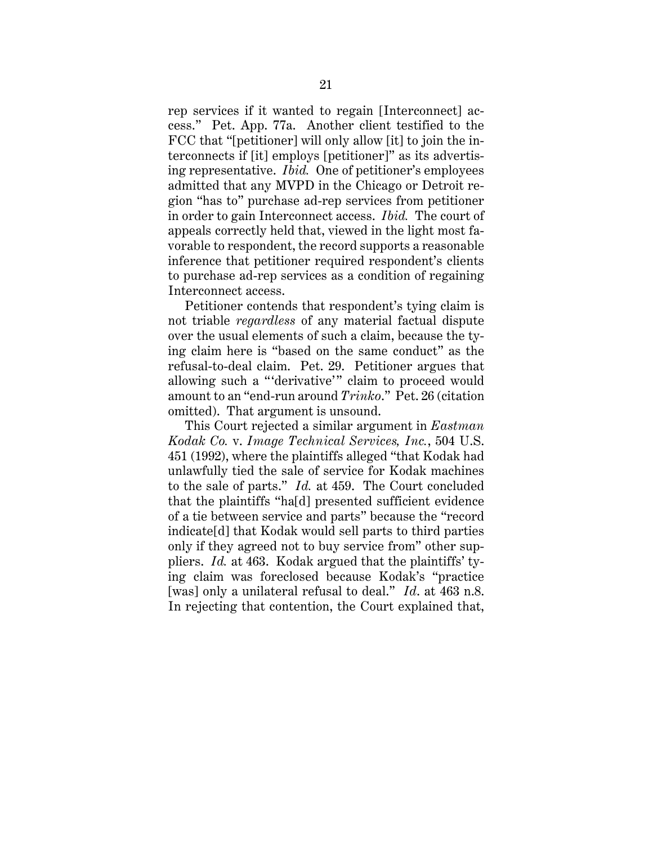rep services if it wanted to regain [Interconnect] access." Pet. App. 77a. Another client testified to the FCC that "[petitioner] will only allow [it] to join the interconnects if [it] employs [petitioner]" as its advertising representative. *Ibid.* One of petitioner's employees admitted that any MVPD in the Chicago or Detroit region "has to" purchase ad-rep services from petitioner in order to gain Interconnect access. *Ibid.* The court of appeals correctly held that, viewed in the light most favorable to respondent, the record supports a reasonable inference that petitioner required respondent's clients to purchase ad-rep services as a condition of regaining Interconnect access.

Petitioner contends that respondent's tying claim is not triable *regardless* of any material factual dispute over the usual elements of such a claim, because the tying claim here is "based on the same conduct" as the refusal-to-deal claim. Pet. 29. Petitioner argues that allowing such a "'derivative'" claim to proceed would amount to an "end-run around *Trinko*." Pet. 26 (citation omitted). That argument is unsound.

This Court rejected a similar argument in *Eastman Kodak Co.* v. *Image Technical Services, Inc.*, 504 U.S. 451 (1992), where the plaintiffs alleged "that Kodak had unlawfully tied the sale of service for Kodak machines to the sale of parts." *Id.* at 459. The Court concluded that the plaintiffs "ha[d] presented sufficient evidence of a tie between service and parts" because the "record indicate[d] that Kodak would sell parts to third parties only if they agreed not to buy service from" other suppliers. *Id.* at 463. Kodak argued that the plaintiffs' tying claim was foreclosed because Kodak's "practice [was] only a unilateral refusal to deal." *Id*. at 463 n.8. In rejecting that contention, the Court explained that,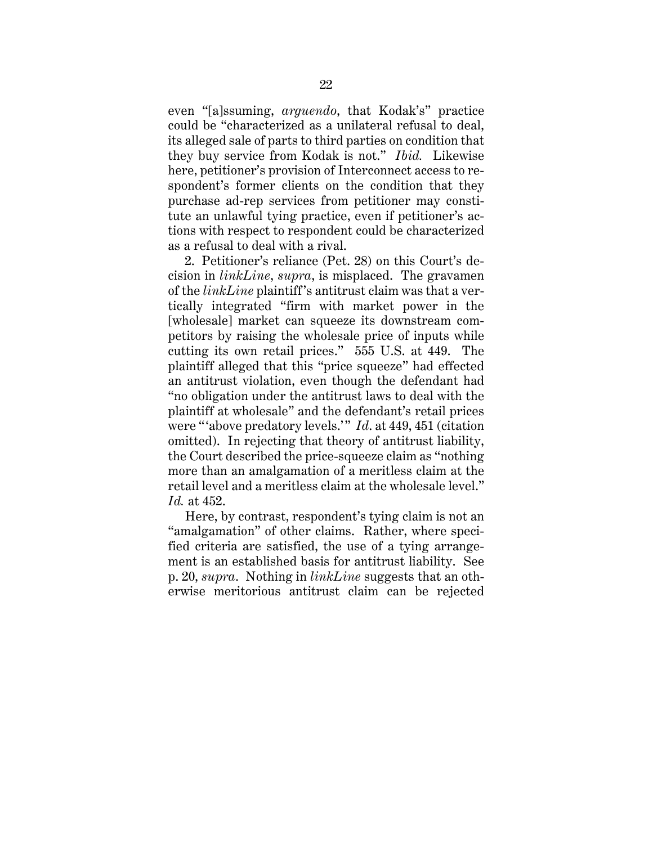even "[a]ssuming, *arguendo*, that Kodak's" practice could be "characterized as a unilateral refusal to deal, its alleged sale of parts to third parties on condition that they buy service from Kodak is not." *Ibid.* Likewise here, petitioner's provision of Interconnect access to respondent's former clients on the condition that they purchase ad-rep services from petitioner may constitute an unlawful tying practice, even if petitioner's actions with respect to respondent could be characterized as a refusal to deal with a rival.

2. Petitioner's reliance (Pet. 28) on this Court's decision in *linkLine*, *supra*, is misplaced. The gravamen of the *linkLine* plaintiff's antitrust claim was that a vertically integrated "firm with market power in the [wholesale] market can squeeze its downstream competitors by raising the wholesale price of inputs while cutting its own retail prices." 555 U.S. at 449. The plaintiff alleged that this "price squeeze" had effected an antitrust violation, even though the defendant had "no obligation under the antitrust laws to deal with the plaintiff at wholesale" and the defendant's retail prices were "above predatory levels." *Id.* at 449, 451 (citation omitted). In rejecting that theory of antitrust liability, the Court described the price-squeeze claim as "nothing more than an amalgamation of a meritless claim at the retail level and a meritless claim at the wholesale level." *Id.* at 452.

Here, by contrast, respondent's tying claim is not an "amalgamation" of other claims. Rather, where specified criteria are satisfied, the use of a tying arrangement is an established basis for antitrust liability. See p. 20, *supra*. Nothing in *linkLine* suggests that an otherwise meritorious antitrust claim can be rejected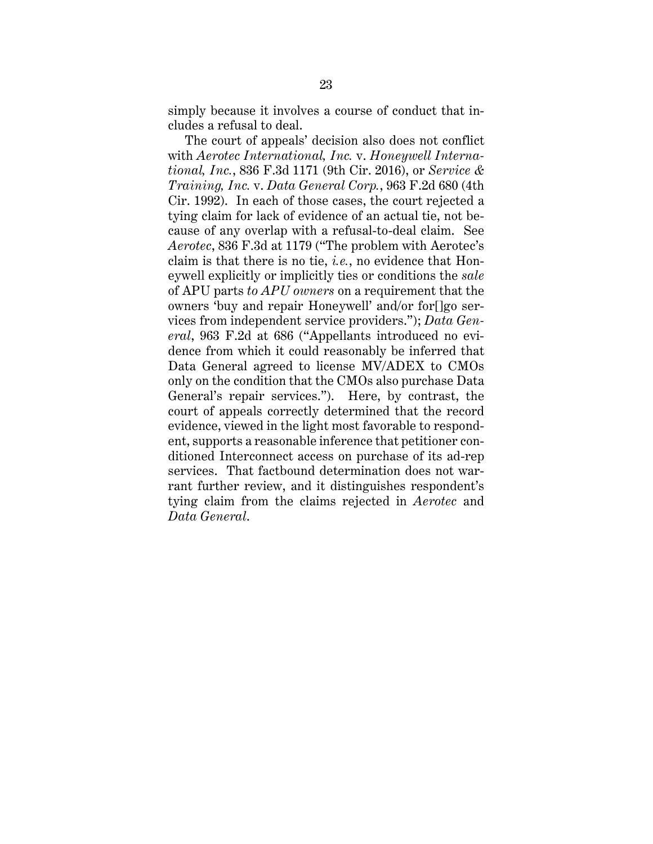simply because it involves a course of conduct that includes a refusal to deal.

The court of appeals' decision also does not conflict with *Aerotec International, Inc.* v. *Honeywell International, Inc.*, 836 F.3d 1171 (9th Cir. 2016), or *Service & Training, Inc.* v. *Data General Corp.*, 963 F.2d 680 (4th Cir. 1992). In each of those cases, the court rejected a tying claim for lack of evidence of an actual tie, not because of any overlap with a refusal-to-deal claim. See *Aerotec*, 836 F.3d at 1179 ("The problem with Aerotec's claim is that there is no tie, *i.e.*, no evidence that Honeywell explicitly or implicitly ties or conditions the *sale* of APU parts *to APU owners* on a requirement that the owners 'buy and repair Honeywell' and/or for[]go services from independent service providers."); *Data General*, 963 F.2d at 686 ("Appellants introduced no evidence from which it could reasonably be inferred that Data General agreed to license MV/ADEX to CMOs only on the condition that the CMOs also purchase Data General's repair services."). Here, by contrast, the court of appeals correctly determined that the record evidence, viewed in the light most favorable to respondent, supports a reasonable inference that petitioner conditioned Interconnect access on purchase of its ad-rep services. That factbound determination does not warrant further review, and it distinguishes respondent's tying claim from the claims rejected in *Aerotec* and *Data General*.